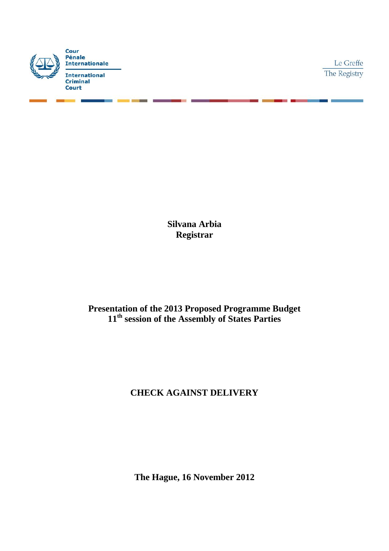

Le Greffe The Registry

**Silvana Arbia Registrar**

**Presentation of the 2013 Proposed Programme Budget 11th session of the Assembly of States Parties**

## **CHECK AGAINST DELIVERY**

**The Hague, 16 November 2012**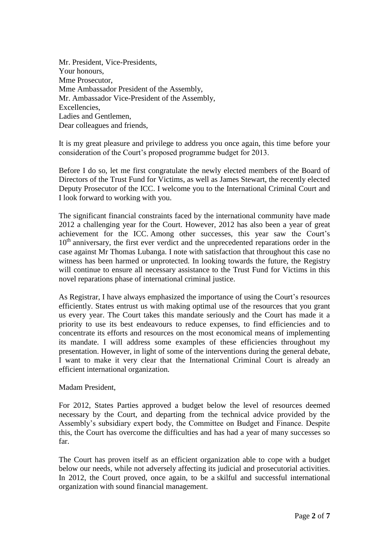Mr. President, Vice-Presidents, Your honours, Mme Prosecutor, Mme Ambassador President of the Assembly, Mr. Ambassador Vice-President of the Assembly, Excellencies, Ladies and Gentlemen, Dear colleagues and friends,

It is my great pleasure and privilege to address you once again, this time before your consideration of the Court's proposed programme budget for 2013.

Before I do so, let me first congratulate the newly elected members of the Board of Directors of the Trust Fund for Victims, as well as James Stewart, the recently elected Deputy Prosecutor of the ICC. I welcome you to the International Criminal Court and I look forward to working with you.

The significant financial constraints faced by the international community have made 2012 a challenging year for the Court. However, 2012 has also been a year of great achievement for the ICC. Among other successes, this year saw the Court's 10<sup>th</sup> anniversary, the first ever verdict and the unprecedented reparations order in the case against Mr Thomas Lubanga. I note with satisfaction that throughout this case no witness has been harmed or unprotected. In looking towards the future, the Registry will continue to ensure all necessary assistance to the Trust Fund for Victims in this novel reparations phase of international criminal justice.

As Registrar, I have always emphasized the importance of using the Court's resources efficiently. States entrust us with making optimal use of the resources that you grant us every year. The Court takes this mandate seriously and the Court has made it a priority to use its best endeavours to reduce expenses, to find efficiencies and to concentrate its efforts and resources on the most economical means of implementing its mandate. I will address some examples of these efficiencies throughout my presentation. However, in light of some of the interventions during the general debate, I want to make it very clear that the International Criminal Court is already an efficient international organization.

## Madam President,

For 2012, States Parties approved a budget below the level of resources deemed necessary by the Court, and departing from the technical advice provided by the Assembly's subsidiary expert body, the Committee on Budget and Finance. Despite this, the Court has overcome the difficulties and has had a year of many successes so far.

The Court has proven itself as an efficient organization able to cope with a budget below our needs, while not adversely affecting its judicial and prosecutorial activities. In 2012, the Court proved, once again, to be a skilful and successful international organization with sound financial management.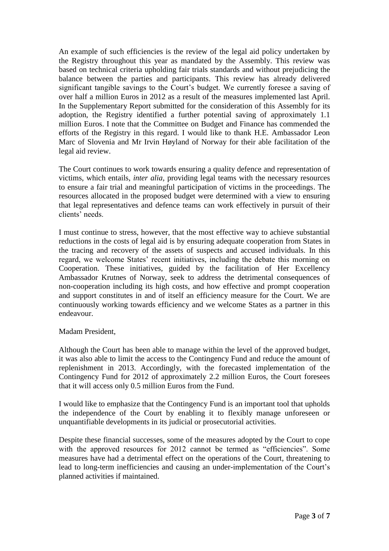An example of such efficiencies is the review of the legal aid policy undertaken by the Registry throughout this year as mandated by the Assembly. This review was based on technical criteria upholding fair trials standards and without prejudicing the balance between the parties and participants. This review has already delivered significant tangible savings to the Court's budget. We currently foresee a saving of over half a million Euros in 2012 as a result of the measures implemented last April. In the Supplementary Report submitted for the consideration of this Assembly for its adoption, the Registry identified a further potential saving of approximately 1.1 million Euros. I note that the Committee on Budget and Finance has commended the efforts of the Registry in this regard. I would like to thank H.E. Ambassador Leon Marc of Slovenia and Mr Irvin Høyland of Norway for their able facilitation of the legal aid review.

The Court continues to work towards ensuring a quality defence and representation of victims, which entails, *inter alia,* providing legal teams with the necessary resources to ensure a fair trial and meaningful participation of victims in the proceedings. The resources allocated in the proposed budget were determined with a view to ensuring that legal representatives and defence teams can work effectively in pursuit of their clients' needs.

I must continue to stress, however, that the most effective way to achieve substantial reductions in the costs of legal aid is by ensuring adequate cooperation from States in the tracing and recovery of the assets of suspects and accused individuals. In this regard, we welcome States' recent initiatives, including the debate this morning on Cooperation. These initiatives, guided by the facilitation of Her Excellency Ambassador Krutnes of Norway, seek to address the detrimental consequences of non-cooperation including its high costs, and how effective and prompt cooperation and support constitutes in and of itself an efficiency measure for the Court. We are continuously working towards efficiency and we welcome States as a partner in this endeavour.

Madam President,

Although the Court has been able to manage within the level of the approved budget, it was also able to limit the access to the Contingency Fund and reduce the amount of replenishment in 2013. Accordingly, with the forecasted implementation of the Contingency Fund for 2012 of approximately 2.2 million Euros, the Court foresees that it will access only 0.5 million Euros from the Fund.

I would like to emphasize that the Contingency Fund is an important tool that upholds the independence of the Court by enabling it to flexibly manage unforeseen or unquantifiable developments in its judicial or prosecutorial activities.

Despite these financial successes, some of the measures adopted by the Court to cope with the approved resources for 2012 cannot be termed as "efficiencies". Some measures have had a detrimental effect on the operations of the Court, threatening to lead to long-term inefficiencies and causing an under-implementation of the Court's planned activities if maintained.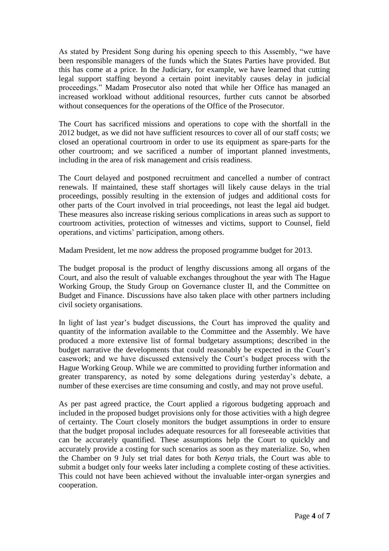As stated by President Song during his opening speech to this Assembly, "we have been responsible managers of the funds which the States Parties have provided. But this has come at a price. In the Judiciary, for example, we have learned that cutting legal support staffing beyond a certain point inevitably causes delay in judicial proceedings." Madam Prosecutor also noted that while her Office has managed an increased workload without additional resources, further cuts cannot be absorbed without consequences for the operations of the Office of the Prosecutor.

The Court has sacrificed missions and operations to cope with the shortfall in the 2012 budget, as we did not have sufficient resources to cover all of our staff costs; we closed an operational courtroom in order to use its equipment as spare-parts for the other courtroom; and we sacrificed a number of important planned investments, including in the area of risk management and crisis readiness.

The Court delayed and postponed recruitment and cancelled a number of contract renewals. If maintained, these staff shortages will likely cause delays in the trial proceedings, possibly resulting in the extension of judges and additional costs for other parts of the Court involved in trial proceedings, not least the legal aid budget. These measures also increase risking serious complications in areas such as support to courtroom activities, protection of witnesses and victims, support to Counsel, field operations, and victims' participation, among others.

Madam President, let me now address the proposed programme budget for 2013.

The budget proposal is the product of lengthy discussions among all organs of the Court, and also the result of valuable exchanges throughout the year with The Hague Working Group, the Study Group on Governance cluster II, and the Committee on Budget and Finance. Discussions have also taken place with other partners including civil society organisations.

In light of last year's budget discussions, the Court has improved the quality and quantity of the information available to the Committee and the Assembly. We have produced a more extensive list of formal budgetary assumptions; described in the budget narrative the developments that could reasonably be expected in the Court's casework; and we have discussed extensively the Court's budget process with the Hague Working Group. While we are committed to providing further information and greater transparency, as noted by some delegations during yesterday's debate, a number of these exercises are time consuming and costly, and may not prove useful.

As per past agreed practice, the Court applied a rigorous budgeting approach and included in the proposed budget provisions only for those activities with a high degree of certainty. The Court closely monitors the budget assumptions in order to ensure that the budget proposal includes adequate resources for all foreseeable activities that can be accurately quantified. These assumptions help the Court to quickly and accurately provide a costing for such scenarios as soon as they materialize. So, when the Chamber on 9 July set trial dates for both *Kenya* trials, the Court was able to submit a budget only four weeks later including a complete costing of these activities. This could not have been achieved without the invaluable inter-organ synergies and cooperation.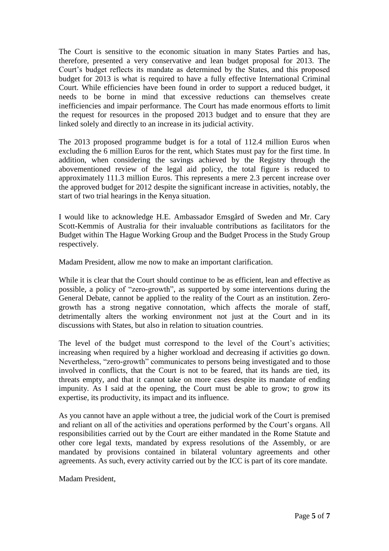The Court is sensitive to the economic situation in many States Parties and has, therefore, presented a very conservative and lean budget proposal for 2013. The Court's budget reflects its mandate as determined by the States, and this proposed budget for 2013 is what is required to have a fully effective International Criminal Court. While efficiencies have been found in order to support a reduced budget, it needs to be borne in mind that excessive reductions can themselves create inefficiencies and impair performance. The Court has made enormous efforts to limit the request for resources in the proposed 2013 budget and to ensure that they are linked solely and directly to an increase in its judicial activity.

The 2013 proposed programme budget is for a total of 112.4 million Euros when excluding the 6 million Euros for the rent, which States must pay for the first time. In addition, when considering the savings achieved by the Registry through the abovementioned review of the legal aid policy, the total figure is reduced to approximately 111.3 million Euros. This represents a mere 2.3 percent increase over the approved budget for 2012 despite the significant increase in activities, notably, the start of two trial hearings in the Kenya situation.

I would like to acknowledge H.E. Ambassador Emsgård of Sweden and Mr. Cary Scott-Kemmis of Australia for their invaluable contributions as facilitators for the Budget within The Hague Working Group and the Budget Process in the Study Group respectively.

Madam President, allow me now to make an important clarification.

While it is clear that the Court should continue to be as efficient, lean and effective as possible, a policy of "zero-growth", as supported by some interventions during the General Debate, cannot be applied to the reality of the Court as an institution. Zerogrowth has a strong negative connotation, which affects the morale of staff, detrimentally alters the working environment not just at the Court and in its discussions with States, but also in relation to situation countries.

The level of the budget must correspond to the level of the Court's activities; increasing when required by a higher workload and decreasing if activities go down. Nevertheless, "zero-growth" communicates to persons being investigated and to those involved in conflicts, that the Court is not to be feared, that its hands are tied, its threats empty, and that it cannot take on more cases despite its mandate of ending impunity. As I said at the opening, the Court must be able to grow; to grow its expertise, its productivity, its impact and its influence.

As you cannot have an apple without a tree, the judicial work of the Court is premised and reliant on all of the activities and operations performed by the Court's organs. All responsibilities carried out by the Court are either mandated in the Rome Statute and other core legal texts, mandated by express resolutions of the Assembly, or are mandated by provisions contained in bilateral voluntary agreements and other agreements. As such, every activity carried out by the ICC is part of its core mandate.

Madam President,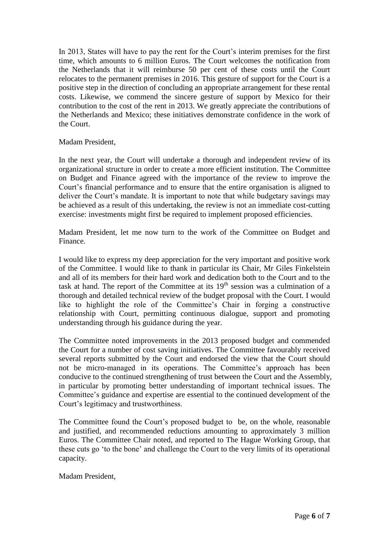In 2013, States will have to pay the rent for the Court's interim premises for the first time, which amounts to 6 million Euros. The Court welcomes the notification from the Netherlands that it will reimburse 50 per cent of these costs until the Court relocates to the permanent premises in 2016. This gesture of support for the Court is a positive step in the direction of concluding an appropriate arrangement for these rental costs. Likewise, we commend the sincere gesture of support by Mexico for their contribution to the cost of the rent in 2013. We greatly appreciate the contributions of the Netherlands and Mexico; these initiatives demonstrate confidence in the work of the Court.

## Madam President,

In the next year, the Court will undertake a thorough and independent review of its organizational structure in order to create a more efficient institution. The Committee on Budget and Finance agreed with the importance of the review to improve the Court's financial performance and to ensure that the entire organisation is aligned to deliver the Court's mandate. It is important to note that while budgetary savings may be achieved as a result of this undertaking, the review is not an immediate cost-cutting exercise: investments might first be required to implement proposed efficiencies.

Madam President, let me now turn to the work of the Committee on Budget and Finance.

I would like to express my deep appreciation for the very important and positive work of the Committee. I would like to thank in particular its Chair, Mr Giles Finkelstein and all of its members for their hard work and dedication both to the Court and to the task at hand. The report of the Committee at its  $19<sup>th</sup>$  session was a culmination of a thorough and detailed technical review of the budget proposal with the Court. I would like to highlight the role of the Committee's Chair in forging a constructive relationship with Court, permitting continuous dialogue, support and promoting understanding through his guidance during the year.

The Committee noted improvements in the 2013 proposed budget and commended the Court for a number of cost saving initiatives. The Committee favourably received several reports submitted by the Court and endorsed the view that the Court should not be micro-managed in its operations. The Committee's approach has been conducive to the continued strengthening of trust between the Court and the Assembly, in particular by promoting better understanding of important technical issues. The Committee's guidance and expertise are essential to the continued development of the Court's legitimacy and trustworthiness.

The Committee found the Court's proposed budget to be, on the whole, reasonable and justified, and recommended reductions amounting to approximately 3 million Euros. The Committee Chair noted, and reported to The Hague Working Group, that these cuts go 'to the bone' and challenge the Court to the very limits of its operational capacity.

Madam President,